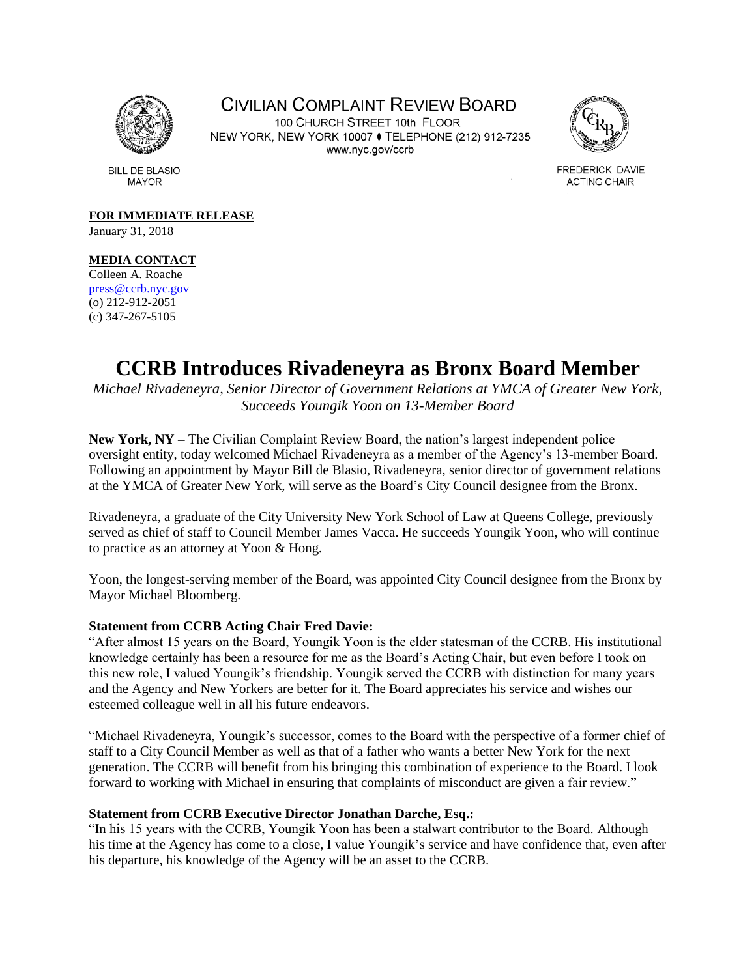

CIVILIAN COMPLAINT REVIEW BOARD

100 CHURCH STREET 10th FLOOR NEW YORK, NEW YORK 10007 ♦ TELEPHONE (212) 912-7235 www.nyc.gov/ccrb



FREDERICK DAVIE **ACTING CHAIR** 

**BILL DE BLASIO MAYOR** 

**FOR IMMEDIATE RELEASE**

January 31, 2018

# **MEDIA CONTACT**

Colleen A. Roache [press@ccrb.nyc.gov](mailto:press@ccrb.nyc.gov) (o) 212-912-2051 (c) 347-267-5105

# **CCRB Introduces Rivadeneyra as Bronx Board Member**

*Michael Rivadeneyra, Senior Director of Government Relations at YMCA of Greater New York, Succeeds Youngik Yoon on 13-Member Board*

**New York, NY –** The Civilian Complaint Review Board, the nation's largest independent police oversight entity, today welcomed Michael Rivadeneyra as a member of the Agency's 13-member Board. Following an appointment by Mayor Bill de Blasio, Rivadeneyra, senior director of government relations at the YMCA of Greater New York, will serve as the Board's City Council designee from the Bronx.

Rivadeneyra, a graduate of the City University New York School of Law at Queens College, previously served as chief of staff to Council Member James Vacca. He succeeds Youngik Yoon, who will continue to practice as an attorney at Yoon & Hong.

Yoon, the longest-serving member of the Board, was appointed City Council designee from the Bronx by Mayor Michael Bloomberg.

# **Statement from CCRB Acting Chair Fred Davie:**

"After almost 15 years on the Board, Youngik Yoon is the elder statesman of the CCRB. His institutional knowledge certainly has been a resource for me as the Board's Acting Chair, but even before I took on this new role, I valued Youngik's friendship. Youngik served the CCRB with distinction for many years and the Agency and New Yorkers are better for it. The Board appreciates his service and wishes our esteemed colleague well in all his future endeavors.

"Michael Rivadeneyra, Youngik's successor, comes to the Board with the perspective of a former chief of staff to a City Council Member as well as that of a father who wants a better New York for the next generation. The CCRB will benefit from his bringing this combination of experience to the Board. I look forward to working with Michael in ensuring that complaints of misconduct are given a fair review."

# **Statement from CCRB Executive Director Jonathan Darche, Esq.:**

"In his 15 years with the CCRB, Youngik Yoon has been a stalwart contributor to the Board. Although his time at the Agency has come to a close, I value Youngik's service and have confidence that, even after his departure, his knowledge of the Agency will be an asset to the CCRB.